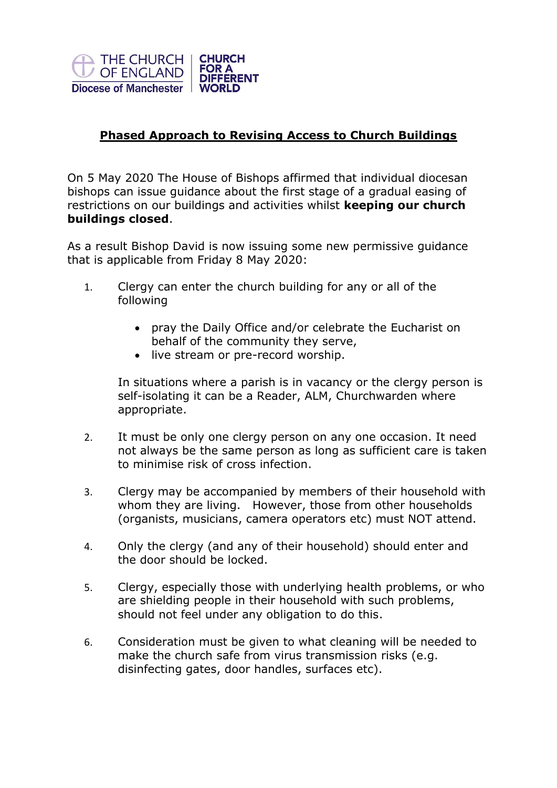

## **Phased Approach to Revising Access to Church Buildings**

On 5 May 2020 The House of Bishops affirmed that individual diocesan bishops can issue guidance about the first stage of a gradual easing of restrictions on our buildings and activities whilst **keeping our church buildings closed**.

As a result Bishop David is now issuing some new permissive guidance that is applicable from Friday 8 May 2020:

- 1. Clergy can enter the church building for any or all of the following
	- pray the Daily Office and/or celebrate the Eucharist on behalf of the community they serve,
	- live stream or pre-record worship.

In situations where a parish is in vacancy or the clergy person is self-isolating it can be a Reader, ALM, Churchwarden where appropriate.

- 2. It must be only one clergy person on any one occasion. It need not always be the same person as long as sufficient care is taken to minimise risk of cross infection.
- 3. Clergy may be accompanied by members of their household with whom they are living. However, those from other households (organists, musicians, camera operators etc) must NOT attend.
- 4. Only the clergy (and any of their household) should enter and the door should be locked.
- 5. Clergy, especially those with underlying health problems, or who are shielding people in their household with such problems, should not feel under any obligation to do this.
- 6. Consideration must be given to what cleaning will be needed to make the church safe from virus transmission risks (e.g. disinfecting gates, door handles, surfaces etc).